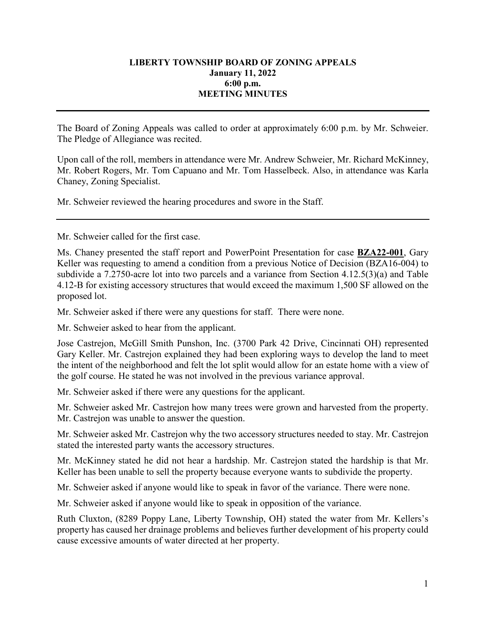## **LIBERTY TOWNSHIP BOARD OF ZONING APPEALS January 11, 2022 6:00 p.m. MEETING MINUTES**

The Board of Zoning Appeals was called to order at approximately 6:00 p.m. by Mr. Schweier. The Pledge of Allegiance was recited.

Upon call of the roll, members in attendance were Mr. Andrew Schweier, Mr. Richard McKinney, Mr. Robert Rogers, Mr. Tom Capuano and Mr. Tom Hasselbeck. Also, in attendance was Karla Chaney, Zoning Specialist.

Mr. Schweier reviewed the hearing procedures and swore in the Staff.

Mr. Schweier called for the first case.

Ms. Chaney presented the staff report and PowerPoint Presentation for case **BZA22-001**, Gary Keller was requesting to amend a condition from a previous Notice of Decision (BZA16-004) to subdivide a 7.2750-acre lot into two parcels and a variance from Section 4.12.5(3)(a) and Table 4.12-B for existing accessory structures that would exceed the maximum 1,500 SF allowed on the proposed lot.

Mr. Schweier asked if there were any questions for staff. There were none.

Mr. Schweier asked to hear from the applicant.

Jose Castrejon, McGill Smith Punshon, Inc. (3700 Park 42 Drive, Cincinnati OH) represented Gary Keller. Mr. Castrejon explained they had been exploring ways to develop the land to meet the intent of the neighborhood and felt the lot split would allow for an estate home with a view of the golf course. He stated he was not involved in the previous variance approval.

Mr. Schweier asked if there were any questions for the applicant.

Mr. Schweier asked Mr. Castrejon how many trees were grown and harvested from the property. Mr. Castrejon was unable to answer the question.

Mr. Schweier asked Mr. Castrejon why the two accessory structures needed to stay. Mr. Castrejon stated the interested party wants the accessory structures.

Mr. McKinney stated he did not hear a hardship. Mr. Castrejon stated the hardship is that Mr. Keller has been unable to sell the property because everyone wants to subdivide the property.

Mr. Schweier asked if anyone would like to speak in favor of the variance. There were none.

Mr. Schweier asked if anyone would like to speak in opposition of the variance.

Ruth Cluxton, (8289 Poppy Lane, Liberty Township, OH) stated the water from Mr. Kellers's property has caused her drainage problems and believes further development of his property could cause excessive amounts of water directed at her property.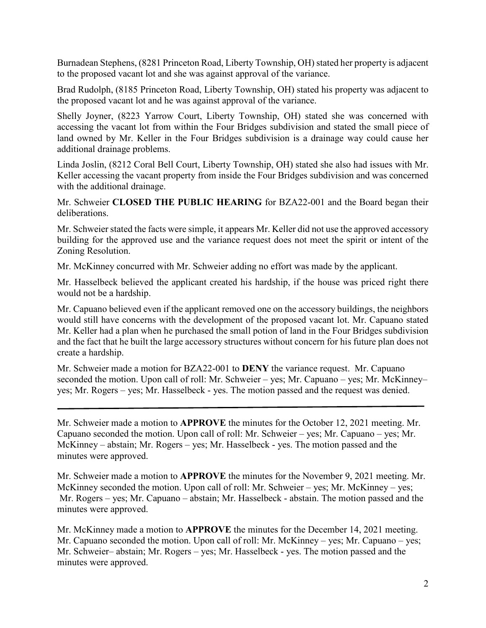Burnadean Stephens, (8281 Princeton Road, Liberty Township, OH) stated her property is adjacent to the proposed vacant lot and she was against approval of the variance.

Brad Rudolph, (8185 Princeton Road, Liberty Township, OH) stated his property was adjacent to the proposed vacant lot and he was against approval of the variance.

Shelly Joyner, (8223 Yarrow Court, Liberty Township, OH) stated she was concerned with accessing the vacant lot from within the Four Bridges subdivision and stated the small piece of land owned by Mr. Keller in the Four Bridges subdivision is a drainage way could cause her additional drainage problems.

Linda Joslin, (8212 Coral Bell Court, Liberty Township, OH) stated she also had issues with Mr. Keller accessing the vacant property from inside the Four Bridges subdivision and was concerned with the additional drainage.

Mr. Schweier **CLOSED THE PUBLIC HEARING** for BZA22-001 and the Board began their deliberations.

Mr. Schweier stated the facts were simple, it appears Mr. Keller did not use the approved accessory building for the approved use and the variance request does not meet the spirit or intent of the Zoning Resolution.

Mr. McKinney concurred with Mr. Schweier adding no effort was made by the applicant.

Mr. Hasselbeck believed the applicant created his hardship, if the house was priced right there would not be a hardship.

Mr. Capuano believed even if the applicant removed one on the accessory buildings, the neighbors would still have concerns with the development of the proposed vacant lot. Mr. Capuano stated Mr. Keller had a plan when he purchased the small potion of land in the Four Bridges subdivision and the fact that he built the large accessory structures without concern for his future plan does not create a hardship.

Mr. Schweier made a motion for BZA22-001 to **DENY** the variance request. Mr. Capuano seconded the motion. Upon call of roll: Mr. Schweier – yes; Mr. Capuano – yes; Mr. McKinney– yes; Mr. Rogers – yes; Mr. Hasselbeck - yes. The motion passed and the request was denied.

Mr. Schweier made a motion to **APPROVE** the minutes for the October 12, 2021 meeting. Mr. Capuano seconded the motion. Upon call of roll: Mr. Schweier – yes; Mr. Capuano – yes; Mr. McKinney – abstain; Mr. Rogers – yes; Mr. Hasselbeck - yes. The motion passed and the minutes were approved.

Mr. Schweier made a motion to **APPROVE** the minutes for the November 9, 2021 meeting. Mr. McKinney seconded the motion. Upon call of roll: Mr. Schweier – yes; Mr. McKinney – yes; Mr. Rogers – yes; Mr. Capuano – abstain; Mr. Hasselbeck - abstain. The motion passed and the minutes were approved.

Mr. McKinney made a motion to **APPROVE** the minutes for the December 14, 2021 meeting. Mr. Capuano seconded the motion. Upon call of roll: Mr. McKinney – yes; Mr. Capuano – yes; Mr. Schweier– abstain; Mr. Rogers – yes; Mr. Hasselbeck - yes. The motion passed and the minutes were approved.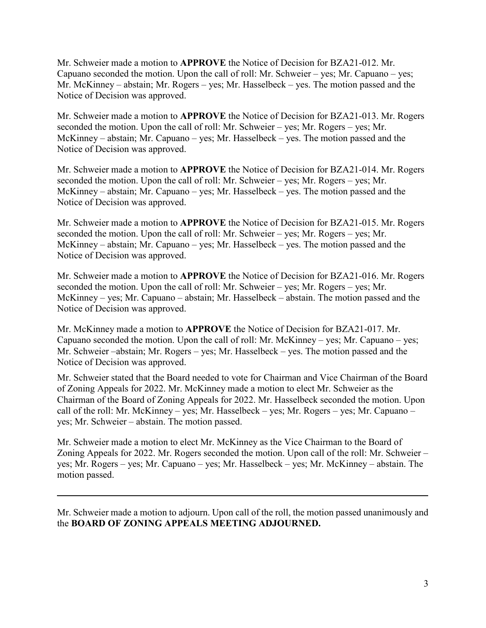Mr. Schweier made a motion to **APPROVE** the Notice of Decision for BZA21-012. Mr. Capuano seconded the motion. Upon the call of roll: Mr. Schweier – yes; Mr. Capuano – yes; Mr. McKinney – abstain; Mr. Rogers – yes; Mr. Hasselbeck – yes. The motion passed and the Notice of Decision was approved.

Mr. Schweier made a motion to **APPROVE** the Notice of Decision for BZA21-013. Mr. Rogers seconded the motion. Upon the call of roll: Mr. Schweier – yes; Mr. Rogers – yes; Mr. McKinney – abstain; Mr. Capuano – yes; Mr. Hasselbeck – yes. The motion passed and the Notice of Decision was approved.

Mr. Schweier made a motion to **APPROVE** the Notice of Decision for BZA21-014. Mr. Rogers seconded the motion. Upon the call of roll: Mr. Schweier – yes; Mr. Rogers – yes; Mr. McKinney – abstain; Mr. Capuano – yes; Mr. Hasselbeck – yes. The motion passed and the Notice of Decision was approved.

Mr. Schweier made a motion to **APPROVE** the Notice of Decision for BZA21-015. Mr. Rogers seconded the motion. Upon the call of roll: Mr. Schweier – yes; Mr. Rogers – yes; Mr. McKinney – abstain; Mr. Capuano – yes; Mr. Hasselbeck – yes. The motion passed and the Notice of Decision was approved.

Mr. Schweier made a motion to **APPROVE** the Notice of Decision for BZA21-016. Mr. Rogers seconded the motion. Upon the call of roll: Mr. Schweier – yes; Mr. Rogers – yes; Mr. McKinney – yes; Mr. Capuano – abstain; Mr. Hasselbeck – abstain. The motion passed and the Notice of Decision was approved.

Mr. McKinney made a motion to **APPROVE** the Notice of Decision for BZA21-017. Mr. Capuano seconded the motion. Upon the call of roll: Mr. McKinney – yes; Mr. Capuano – yes; Mr. Schweier –abstain; Mr. Rogers – yes; Mr. Hasselbeck – yes. The motion passed and the Notice of Decision was approved.

Mr. Schweier stated that the Board needed to vote for Chairman and Vice Chairman of the Board of Zoning Appeals for 2022. Mr. McKinney made a motion to elect Mr. Schweier as the Chairman of the Board of Zoning Appeals for 2022. Mr. Hasselbeck seconded the motion. Upon call of the roll: Mr. McKinney – yes; Mr. Hasselbeck – yes; Mr. Rogers – yes; Mr. Capuano – yes; Mr. Schweier – abstain. The motion passed.

Mr. Schweier made a motion to elect Mr. McKinney as the Vice Chairman to the Board of Zoning Appeals for 2022. Mr. Rogers seconded the motion. Upon call of the roll: Mr. Schweier – yes; Mr. Rogers – yes; Mr. Capuano – yes; Mr. Hasselbeck – yes; Mr. McKinney – abstain. The motion passed.

Mr. Schweier made a motion to adjourn. Upon call of the roll, the motion passed unanimously and the **BOARD OF ZONING APPEALS MEETING ADJOURNED.**